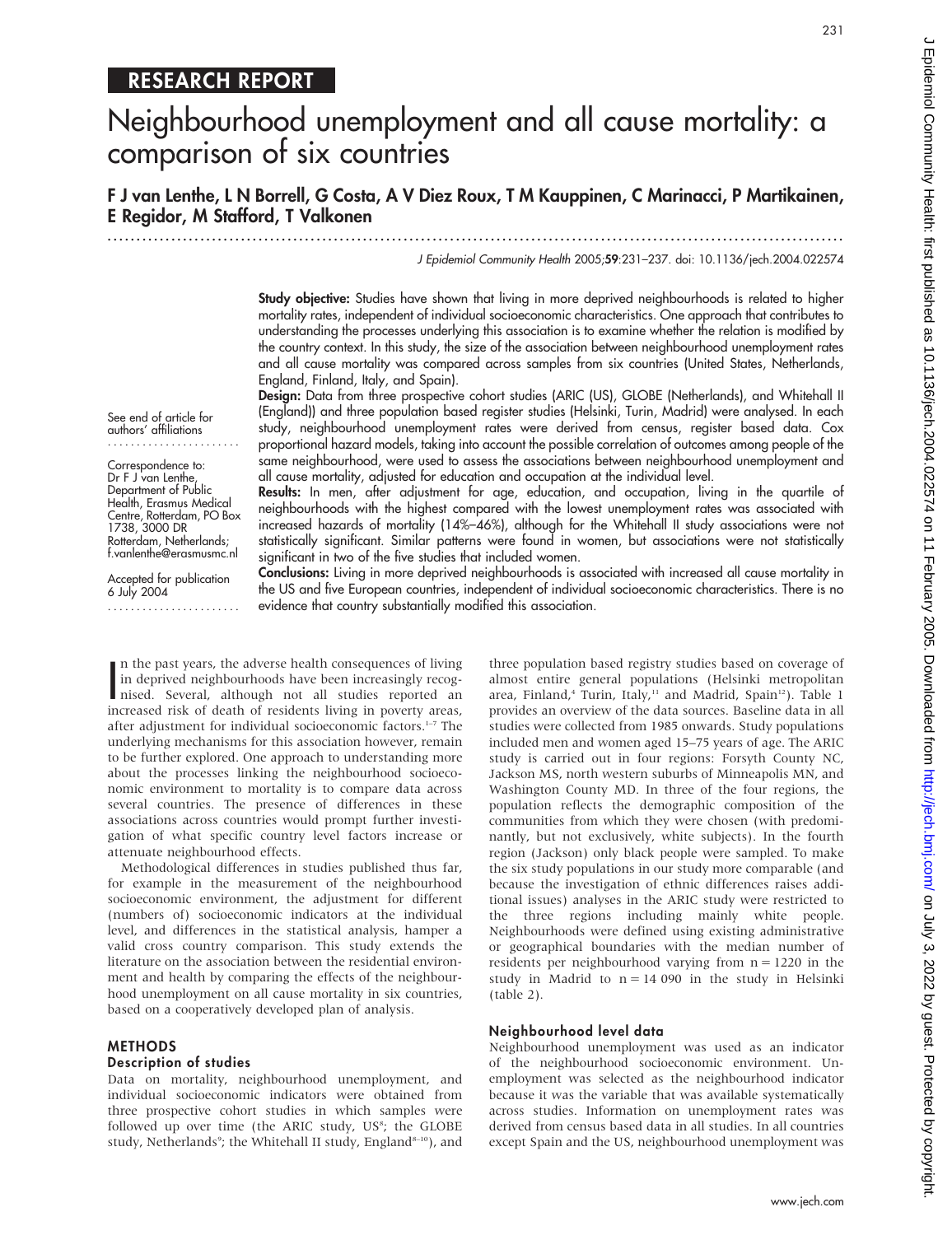# RESEARCH REPORT

# Neighbourhood unemployment and all cause mortality: a comparison of six countries

F J van Lenthe, L N Borrell, G Costa, A V Diez Roux, T M Kauppinen, C Marinacci, P Martikainen, E Regidor, M Stafford, T Valkonen

.............................................................................................................................. .

J Epidemiol Community Health 2005;59:231–237. doi: 10.1136/jech.2004.022574

Study objective: Studies have shown that living in more deprived neighbourhoods is related to higher mortality rates, independent of individual socioeconomic characteristics. One approach that contributes to understanding the processes underlying this association is to examine whether the relation is modified by the country context. In this study, the size of the association between neighbourhood unemployment rates and all cause mortality was compared across samples from six countries (United States, Netherlands, England, Finland, Italy, and Spain).

Design: Data from three prospective cohort studies (ARIC (US), GLOBE (Netherlands), and Whitehall II (England)) and three population based register studies (Helsinki, Turin, Madrid) were analysed. In each study, neighbourhood unemployment rates were derived from census, register based data. Cox proportional hazard models, taking into account the possible correlation of outcomes among people of the same neighbourhood, were used to assess the associations between neighbourhood unemployment and all cause mortality, adjusted for education and occupation at the individual level.

Results: In men, after adjustment for age, education, and occupation, living in the quartile of neighbourhoods with the highest compared with the lowest unemployment rates was associated with increased hazards of mortality (14%–46%), although for the Whitehall II study associations were not statistically significant. Similar patterns were found in women, but associations were not statistically significant in two of the five studies that included women.

Conclusions: Living in more deprived neighbourhoods is associated with increased all cause mortality in the US and five European countries, independent of individual socioeconomic characteristics. There is no evidence that country substantially modified this association.

In the past years, the adverse health consequences of living<br>in deprived neighbourhoods have been increasingly recog-<br>nised. Several, although not all studies reported an<br>increased risk of death of residents living in pove n the past years, the adverse health consequences of living in deprived neighbourhoods have been increasingly recogincreased risk of death of residents living in poverty areas, after adjustment for individual socioeconomic factors.<sup>1-7</sup> The underlying mechanisms for this association however, remain to be further explored. One approach to understanding more about the processes linking the neighbourhood socioeconomic environment to mortality is to compare data across several countries. The presence of differences in these associations across countries would prompt further investigation of what specific country level factors increase or attenuate neighbourhood effects.

Methodological differences in studies published thus far, for example in the measurement of the neighbourhood socioeconomic environment, the adjustment for different (numbers of) socioeconomic indicators at the individual level, and differences in the statistical analysis, hamper a valid cross country comparison. This study extends the literature on the association between the residential environment and health by comparing the effects of the neighbourhood unemployment on all cause mortality in six countries, based on a cooperatively developed plan of analysis.

#### METHODS

# Description of studies

Data on mortality, neighbourhood unemployment, and individual socioeconomic indicators were obtained from three prospective cohort studies in which samples were followed up over time (the ARIC study, US<sup>8</sup>; the GLOBE study, Netherlands<sup>9</sup>; the Whitehall II study, England<sup>8-10</sup>), and

three population based registry studies based on coverage of almost entire general populations (Helsinki metropolitan area, Finland,<sup>4</sup> Turin, Italy,<sup>11</sup> and Madrid, Spain<sup>12</sup>). Table 1 provides an overview of the data sources. Baseline data in all studies were collected from 1985 onwards. Study populations included men and women aged 15–75 years of age. The ARIC study is carried out in four regions: Forsyth County NC, Jackson MS, north western suburbs of Minneapolis MN, and Washington County MD. In three of the four regions, the population reflects the demographic composition of the communities from which they were chosen (with predominantly, but not exclusively, white subjects). In the fourth region (Jackson) only black people were sampled. To make the six study populations in our study more comparable (and because the investigation of ethnic differences raises additional issues) analyses in the ARIC study were restricted to the three regions including mainly white people. Neighbourhoods were defined using existing administrative or geographical boundaries with the median number of residents per neighbourhood varying from  $n = 1220$  in the study in Madrid to  $n = 14090$  in the study in Helsinki (table 2).

#### Neighbourhood level data

Neighbourhood unemployment was used as an indicator of the neighbourhood socioeconomic environment. Unemployment was selected as the neighbourhood indicator because it was the variable that was available systematically across studies. Information on unemployment rates was derived from census based data in all studies. In all countries except Spain and the US, neighbourhood unemployment was

www.jech.com

....................... Correspondence to: Dr F J van Lenthe, Department of Public<br>Health, Erasmus Medical

See end of article for authors' affiliations

Health, Erasmus Medical Centre, Rotterdam, PO Box 1738, 3000 DR Rotterdam, Netherlands; f.vanlenthe@erasmusmc.nl

Accepted for publication 6 July 2004 .......................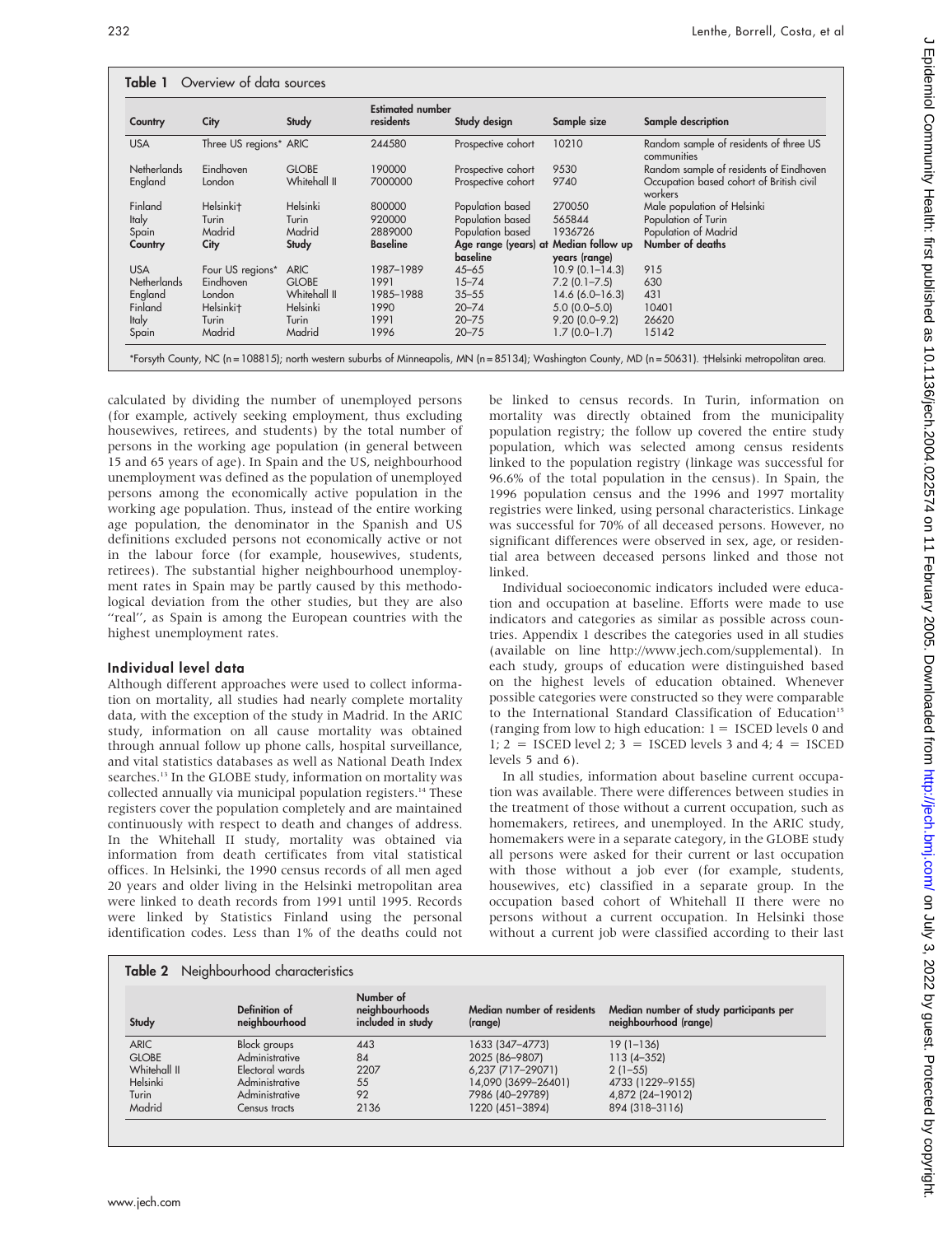| Country            | City                   | Study        | <b>Estimated number</b><br>residents | Study design                          | Sample size        | Sample description                                    |
|--------------------|------------------------|--------------|--------------------------------------|---------------------------------------|--------------------|-------------------------------------------------------|
| <b>USA</b>         | Three US regions* ARIC |              | 244580                               | Prospective cohort                    | 10210              | Random sample of residents of three US<br>communities |
| <b>Netherlands</b> | Eindhoven              | <b>GLOBE</b> | 190000                               | Prospective cohort                    | 9530               | Random sample of residents of Eindhoven               |
| England            | London                 | Whitehall II | 7000000                              | Prospective cohort                    | 9740               | Occupation based cohort of British civil<br>workers   |
| Finland            | Helsinki <sup>+</sup>  | Helsinki     | 800000                               | Population based                      | 270050             | Male population of Helsinki                           |
| <b>Italy</b>       | Turin                  | Turin        | 920000                               | Population based                      | 565844             | Population of Turin                                   |
| Spain              | Madrid                 | Madrid       | 2889000                              | Population based                      | 1936726            | Population of Madrid                                  |
| Country            | City                   | Study        | <b>Baseline</b>                      | Age range (years) at Median follow up |                    | Number of deaths                                      |
|                    |                        |              |                                      | baseline                              | years (range)      |                                                       |
| <b>USA</b>         | Four US regions*       | <b>ARIC</b>  | 1987-1989                            | $45 - 65$                             | $10.9(0.1 - 14.3)$ | 915                                                   |
| <b>Netherlands</b> | Eindhoven              | <b>GLOBE</b> | 1991                                 | $15 - 74$                             | $7.2$ (0.1-7.5)    | 630                                                   |
| England            | London                 | Whitehall II | 1985-1988                            | $35 - 55$                             | $14.6(6.0 - 16.3)$ | 431                                                   |
| Finland            | Helsinki <sup>+</sup>  | Helsinki     | 1990                                 | $20 - 74$                             | $5.0(0.0-5.0)$     | 10401                                                 |
| <b>Italy</b>       | Turin                  | Turin        | 1991                                 | $20 - 75$                             | $9.20(0.0 - 9.2)$  | 26620                                                 |
| Spain              | Madrid                 | Madrid       | 1996                                 | $20 - 75$                             | $1.7(0.0-1.7)$     | 15142                                                 |

calculated by dividing the number of unemployed persons (for example, actively seeking employment, thus excluding housewives, retirees, and students) by the total number of persons in the working age population (in general between 15 and 65 years of age). In Spain and the US, neighbourhood unemployment was defined as the population of unemployed persons among the economically active population in the working age population. Thus, instead of the entire working age population, the denominator in the Spanish and US definitions excluded persons not economically active or not in the labour force (for example, housewives, students, retirees). The substantial higher neighbourhood unemployment rates in Spain may be partly caused by this methodological deviation from the other studies, but they are also "real", as Spain is among the European countries with the highest unemployment rates.

# Individual level data

Although different approaches were used to collect information on mortality, all studies had nearly complete mortality data, with the exception of the study in Madrid. In the ARIC study, information on all cause mortality was obtained through annual follow up phone calls, hospital surveillance, and vital statistics databases as well as National Death Index searches.<sup>13</sup> In the GLOBE study, information on mortality was collected annually via municipal population registers.<sup>14</sup> These registers cover the population completely and are maintained continuously with respect to death and changes of address. In the Whitehall II study, mortality was obtained via information from death certificates from vital statistical offices. In Helsinki, the 1990 census records of all men aged 20 years and older living in the Helsinki metropolitan area were linked to death records from 1991 until 1995. Records were linked by Statistics Finland using the personal identification codes. Less than 1% of the deaths could not be linked to census records. In Turin, information on mortality was directly obtained from the municipality population registry; the follow up covered the entire study population, which was selected among census residents linked to the population registry (linkage was successful for 96.6% of the total population in the census). In Spain, the 1996 population census and the 1996 and 1997 mortality registries were linked, using personal characteristics. Linkage was successful for 70% of all deceased persons. However, no significant differences were observed in sex, age, or residential area between deceased persons linked and those not linked.

Individual socioeconomic indicators included were education and occupation at baseline. Efforts were made to use indicators and categories as similar as possible across countries. Appendix 1 describes the categories used in all studies (available on line http://www.jech.com/supplemental). In each study, groups of education were distinguished based on the highest levels of education obtained. Whenever possible categories were constructed so they were comparable to the International Standard Classification of Education<sup>15</sup> (ranging from low to high education:  $1 = \text{ISCED}$  levels 0 and 1;  $2 = ISCED$  level 2;  $3 = ISCED$  levels 3 and 4;  $4 = ISCED$ levels 5 and 6).

In all studies, information about baseline current occupation was available. There were differences between studies in the treatment of those without a current occupation, such as homemakers, retirees, and unemployed. In the ARIC study, homemakers were in a separate category, in the GLOBE study all persons were asked for their current or last occupation with those without a job ever (for example, students, housewives, etc) classified in a separate group. In the occupation based cohort of Whitehall II there were no persons without a current occupation. In Helsinki those without a current job were classified according to their last

| Study        | Definition of<br>neighbourhood | Number of<br>neighbourhoods<br>included in study | Median number of residents<br>(range) | Median number of study participants per<br>neighbourhood (range) |
|--------------|--------------------------------|--------------------------------------------------|---------------------------------------|------------------------------------------------------------------|
| <b>ARIC</b>  | <b>Block</b> groups            | 443                                              | 1633 (347-4773)                       | $19(1 - 136)$                                                    |
| <b>GLOBE</b> | Administrative                 | 84                                               | 2025 (86-9807)                        | $113(4 - 352)$                                                   |
| Whitehall II | Electoral wards                | 2207                                             | 6,237 (717-29071)                     | $2(1-55)$                                                        |
| Helsinki     | Administrative                 | 55                                               | 14,090 (3699-26401)                   | 4733 (1229-9155)                                                 |
| Turin        | Administrative                 | 92                                               | 7986 (40-29789)                       | 4,872 (24-19012)                                                 |
| Madrid       | Census tracts                  | 2136                                             | 1220 (451-3894)                       | 894 (318-3116)                                                   |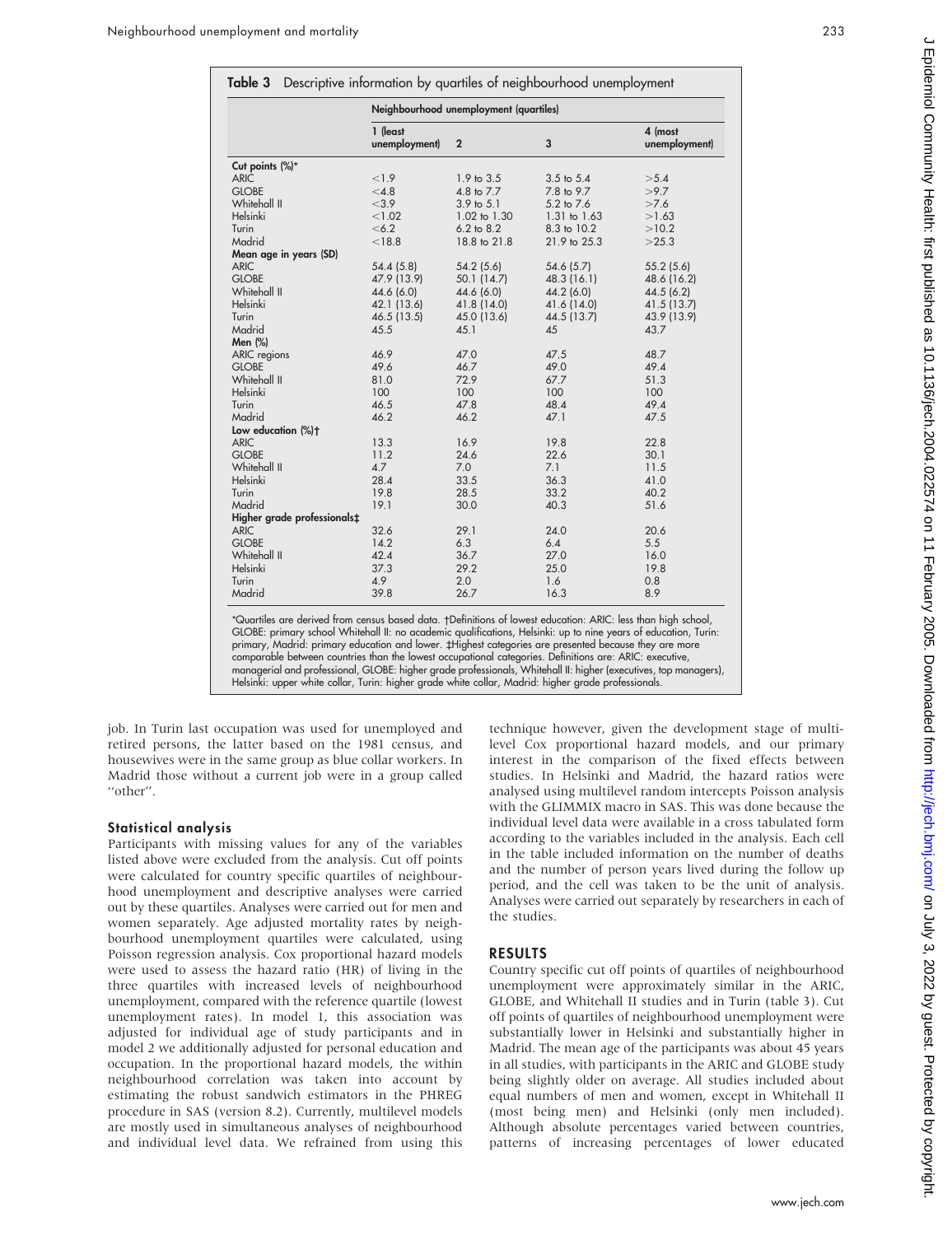|                             | Neighbourhood unemployment (quartiles) |                       |                |                          |  |
|-----------------------------|----------------------------------------|-----------------------|----------------|--------------------------|--|
|                             | 1 (least<br>unemployment)              | $\overline{2}$        | 3              | 4 (most<br>unemployment) |  |
| Cut points (%)*             |                                        |                       |                |                          |  |
| <b>ARIC</b>                 | < 1.9                                  | 1.9 to 3.5            | $3.5$ to $5.4$ | >5.4                     |  |
| <b>GLOBE</b>                | < 4.8                                  | 4.8 to 7.7            | 7.8 to 9.7     | >9.7                     |  |
| Whitehall II                | < 3.9                                  | $3.9 \text{ to } 5.1$ | 5.2 to 7.6     | >7.6                     |  |
| Helsinki                    | < 1.02                                 | 1.02 to 1.30          | 1.31 to 1.63   | >1.63                    |  |
| Turin                       | < 6.2                                  | $6.2$ to $8.2$        | 8.3 to 10.2    | >10.2                    |  |
| Madrid                      | < 18.8                                 | 18.8 to 21.8          | 21.9 to 25.3   | >25.3                    |  |
| Mean age in years (SD)      |                                        |                       |                |                          |  |
| <b>ARIC</b>                 | 54.4(5.8)                              | 54.2(5.6)             | 54.6 (5.7)     | 55.2(5.6)                |  |
| <b>GLOBE</b>                | 47.9 (13.9)                            | 50.1 (14.7)           | 48.3 (16.1)    | 48.6 (16.2)              |  |
| Whitehall II                | 44.6 (6.0)                             | 44.6 (6.0)            | 44.2 (6.0)     | 44.5 (6.2)               |  |
| Helsinki                    | 42.1 (13.6)                            | 41.8 (14.0)           | 41.6 (14.0)    | 41.5 (13.7)              |  |
| Turin                       | 46.5 (13.5)                            | 45.0 (13.6)           | 44.5 (13.7)    | 43.9 (13.9)              |  |
| Madrid                      | 45.5                                   | 45.1                  | 45             | 43.7                     |  |
| Men $(\%)$                  |                                        |                       |                |                          |  |
| <b>ARIC</b> regions         | 46.9                                   | 47.0                  | 47.5           | 48.7                     |  |
| <b>GLOBE</b>                | 49.6                                   | 46.7                  | 49.0           | 49.4                     |  |
| Whitehall II                | 81.0                                   | 72.9                  | 67.7           | 51.3                     |  |
| Helsinki                    | 100                                    | 100                   | 100            | 100                      |  |
| Turin                       | 46.5                                   | 47.8                  | 48.4           | 49.4                     |  |
| Madrid                      | 46.2                                   | 46.2                  | 47.1           | 47.5                     |  |
| Low education (%)+          |                                        |                       |                |                          |  |
| <b>ARIC</b>                 | 13.3                                   | 16.9                  | 19.8           | 22.8                     |  |
| <b>GLOBE</b>                | 11.2                                   | 24.6                  | 22.6           | 30.1                     |  |
| Whitehall II                | 4.7                                    | 7.0                   | 7.1            | 11.5                     |  |
| Helsinki                    | 28.4                                   | 33.5                  | 36.3           | 41.0                     |  |
| Turin                       | 19.8                                   | 28.5                  | 33.2           | 40.2                     |  |
| Madrid                      | 19.1                                   | 30.0                  | 40.3           | 51.6                     |  |
| Higher grade professionals: |                                        |                       |                |                          |  |
| <b>ARIC</b>                 | 32.6                                   | 29.1                  | 24.0           | 20.6                     |  |
| <b>GLOBE</b>                | 14.2                                   | 6.3                   | 6.4            | 5.5                      |  |
| Whitehall II                | 42.4                                   | 36.7                  | 27.0           | 16.0                     |  |
| Helsinki                    | 37.3                                   | 29.2                  | 25.0           | 19.8                     |  |
| Turin                       | 4.9                                    | 2.0                   | 1.6            | 0.8                      |  |
| Madrid                      | 39.8                                   | 26.7                  | 16.3           | 8.9                      |  |

\*Quartiles are derived from census based data. -Definitions of lowest education: ARIC: less than high school, GLOBE: primary school Whitehall II: no academic qualifications, Helsinki: up to nine years of education, Turin: primary, Madrid: primary education and lower. #Highest categories are presented because they are more comparable between countries than the lowest occupational categories. Definitions are: ARIC: executive, managerial and professional, GLOBE: higher grade professionals, Whitehall II: higher (executives, top managers), Helsinki: upper white collar, Turin: higher grade white collar, Madrid: higher grade professionals.

job. In Turin last occupation was used for unemployed and retired persons, the latter based on the 1981 census, and housewives were in the same group as blue collar workers. In Madrid those without a current job were in a group called "other".

#### Statistical analysis

Participants with missing values for any of the variables listed above were excluded from the analysis. Cut off points were calculated for country specific quartiles of neighbourhood unemployment and descriptive analyses were carried out by these quartiles. Analyses were carried out for men and women separately. Age adjusted mortality rates by neighbourhood unemployment quartiles were calculated, using Poisson regression analysis. Cox proportional hazard models were used to assess the hazard ratio (HR) of living in the three quartiles with increased levels of neighbourhood unemployment, compared with the reference quartile (lowest unemployment rates). In model 1, this association was adjusted for individual age of study participants and in model 2 we additionally adjusted for personal education and occupation. In the proportional hazard models, the within neighbourhood correlation was taken into account by estimating the robust sandwich estimators in the PHREG procedure in SAS (version 8.2). Currently, multilevel models are mostly used in simultaneous analyses of neighbourhood and individual level data. We refrained from using this technique however, given the development stage of multilevel Cox proportional hazard models, and our primary interest in the comparison of the fixed effects between studies. In Helsinki and Madrid, the hazard ratios were analysed using multilevel random intercepts Poisson analysis with the GLIMMIX macro in SAS. This was done because the individual level data were available in a cross tabulated form according to the variables included in the analysis. Each cell in the table included information on the number of deaths and the number of person years lived during the follow up period, and the cell was taken to be the unit of analysis. Analyses were carried out separately by researchers in each of the studies.

# RESULTS

Country specific cut off points of quartiles of neighbourhood unemployment were approximately similar in the ARIC, GLOBE, and Whitehall II studies and in Turin (table 3). Cut off points of quartiles of neighbourhood unemployment were substantially lower in Helsinki and substantially higher in Madrid. The mean age of the participants was about 45 years in all studies, with participants in the ARIC and GLOBE study being slightly older on average. All studies included about equal numbers of men and women, except in Whitehall II (most being men) and Helsinki (only men included). Although absolute percentages varied between countries, patterns of increasing percentages of lower educated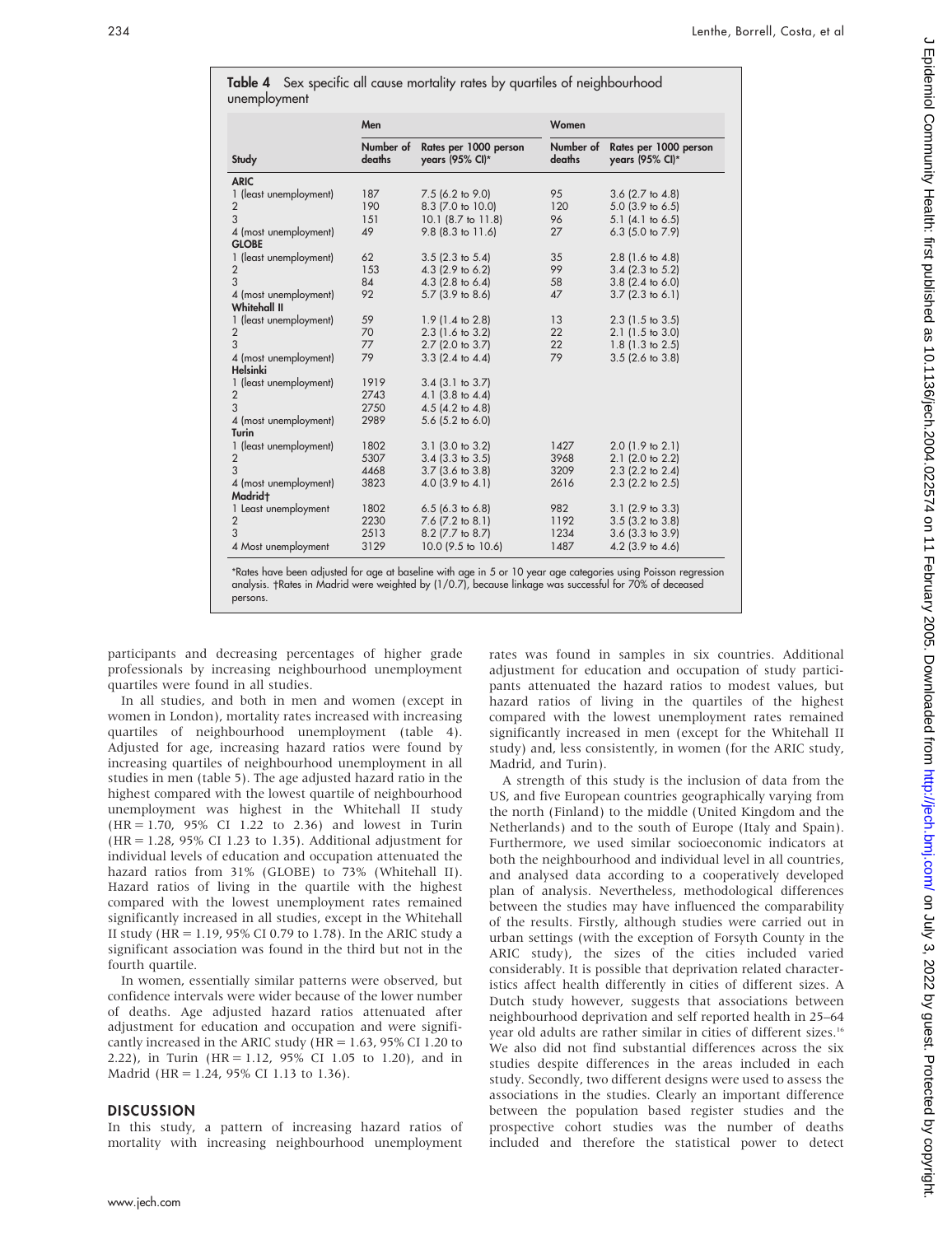|                                       | Men                 |                                          | Women               |                                          |  |
|---------------------------------------|---------------------|------------------------------------------|---------------------|------------------------------------------|--|
| Study                                 | Number of<br>deaths | Rates per 1000 person<br>years (95% CI)* | Number of<br>deaths | Rates per 1000 person<br>years (95% CI)* |  |
| <b>ARIC</b>                           |                     |                                          |                     |                                          |  |
| 1 (least unemployment)                | 187                 | $7.5$ (6.2 to 9.0)                       | 95                  | $3.6$ (2.7 to 4.8)                       |  |
| 2                                     | 190                 | 8.3 (7.0 to 10.0)                        | 120                 | $5.0$ (3.9 to 6.5)                       |  |
| 3                                     | 151                 | 10.1 (8.7 to 11.8)                       | 96                  | $5.1$ (4.1 to 6.5)                       |  |
| 4 (most unemployment)<br><b>GLOBE</b> | 49                  | 9.8 (8.3 to 11.6)                        | 27                  | 6.3 $(5.0 \text{ to } 7.9)$              |  |
| 1 (least unemployment)                | 62                  | $3.5$ (2.3 to $5.4$ )                    | 35                  | $2.8$ (1.6 to 4.8)                       |  |
| $\overline{2}$                        | 153                 | 4.3 (2.9 to 6.2)                         | 99                  | $3.4$ (2.3 to 5.2)                       |  |
| 3                                     | 84                  | $4.3$ (2.8 to 6.4)                       | 58                  | $3.8$ (2.4 to 6.0)                       |  |
| 4 (most unemployment)                 | 92                  | 5.7 (3.9 to 8.6)                         | 47                  | $3.7$ (2.3 to 6.1)                       |  |
| <b>Whitehall II</b>                   |                     |                                          |                     |                                          |  |
| 1 (least unemployment)                | 59                  | $1.9(1.4 \text{ to } 2.8)$               | 13                  | $2.3$ (1.5 to 3.5)                       |  |
| $\overline{2}$                        | 70                  | 2.3 (1.6 to 3.2)                         | 22                  | $2.1$ (1.5 to 3.0)                       |  |
| 3                                     | 77                  | 2.7 (2.0 to 3.7)                         | 22                  | $1.8$ (1.3 to 2.5)                       |  |
| 4 (most unemployment)                 | 79                  | $3.3$ (2.4 to 4.4)                       | 79                  | $3.5$ (2.6 to $3.8$ )                    |  |
| Helsinki                              |                     |                                          |                     |                                          |  |
| 1 (least unemployment)                | 1919                | $3.4$ (3.1 to $3.7$ )                    |                     |                                          |  |
| 2                                     | 2743                | $4.1$ (3.8 to 4.4)                       |                     |                                          |  |
| 3                                     | 2750                | $4.5$ (4.2 to 4.8)                       |                     |                                          |  |
| 4 (most unemployment)                 | 2989                | $5.6$ (5.2 to 6.0)                       |                     |                                          |  |
| <b>Turin</b>                          |                     |                                          |                     |                                          |  |
| 1 (least unemployment)                | 1802                | $3.1$ (3.0 to 3.2)                       | 1427                | $2.0$ (1.9 to 2.1)                       |  |
| $\overline{2}$                        | 5307                | $3.4$ (3.3 to 3.5)                       | 3968                | $2.1$ (2.0 to 2.2)                       |  |
| 3                                     | 4468                | $3.7$ (3.6 to $3.8$ )                    | 3209                | $2.3$ (2.2 to $2.4$ )                    |  |
| 4 (most unemployment)                 | 3823                | $4.0$ (3.9 to $4.1$ )                    | 2616                | $2.3$ (2.2 to $2.5$ )                    |  |
| Madridt                               |                     |                                          |                     |                                          |  |
| 1 Least unemployment                  | 1802                | $6.5$ (6.3 to 6.8)                       | 982                 | $3.1$ (2.9 to $3.3$ )                    |  |
| $\overline{2}$                        | 2230                | 7.6 (7.2 to 8.1)                         | 1192                | $3.5$ (3.2 to $3.8$ )                    |  |
| 3                                     | 2513                | 8.2 (7.7 to 8.7)                         | 1234                | $3.6$ (3.3 to $3.9$ )                    |  |
| 4 Most unemployment                   | 3129                | 10.0 (9.5 to 10.6)                       | 1487                | $4.2$ (3.9 to $4.6$ )                    |  |

| Men                                                                                          | Women |  |  |  |
|----------------------------------------------------------------------------------------------|-------|--|--|--|
| Table 4 Sex specific all cause mortality rates by quartiles of neighbourhood<br>unemployment |       |  |  |  |

\*Rates have been adjusted for age at baseline with age in 5 or 10 year age categories using Poisson regression analysis. †Rates in Madrid were weighted by (1/0.7), because linkage was successtul for 70% of deceased persons.

participants and decreasing percentages of higher grade professionals by increasing neighbourhood unemployment quartiles were found in all studies.

In all studies, and both in men and women (except in women in London), mortality rates increased with increasing quartiles of neighbourhood unemployment (table 4). Adjusted for age, increasing hazard ratios were found by increasing quartiles of neighbourhood unemployment in all studies in men (table 5). The age adjusted hazard ratio in the highest compared with the lowest quartile of neighbourhood unemployment was highest in the Whitehall II study (HR = 1.70, 95% CI 1.22 to 2.36) and lowest in Turin (HR = 1.28, 95% CI 1.23 to 1.35). Additional adjustment for individual levels of education and occupation attenuated the hazard ratios from 31% (GLOBE) to 73% (Whitehall II). Hazard ratios of living in the quartile with the highest compared with the lowest unemployment rates remained significantly increased in all studies, except in the Whitehall II study (HR = 1.19, 95% CI 0.79 to 1.78). In the ARIC study a significant association was found in the third but not in the fourth quartile.

In women, essentially similar patterns were observed, but confidence intervals were wider because of the lower number of deaths. Age adjusted hazard ratios attenuated after adjustment for education and occupation and were significantly increased in the ARIC study (HR = 1.63, 95% CI 1.20 to 2.22), in Turin (HR = 1.12, 95% CI 1.05 to 1.20), and in Madrid (HR = 1.24, 95% CI 1.13 to 1.36).

#### **DISCUSSION**

In this study, a pattern of increasing hazard ratios of mortality with increasing neighbourhood unemployment rates was found in samples in six countries. Additional adjustment for education and occupation of study participants attenuated the hazard ratios to modest values, but hazard ratios of living in the quartiles of the highest compared with the lowest unemployment rates remained significantly increased in men (except for the Whitehall II study) and, less consistently, in women (for the ARIC study, Madrid, and Turin).

A strength of this study is the inclusion of data from the US, and five European countries geographically varying from the north (Finland) to the middle (United Kingdom and the Netherlands) and to the south of Europe (Italy and Spain). Furthermore, we used similar socioeconomic indicators at both the neighbourhood and individual level in all countries, and analysed data according to a cooperatively developed plan of analysis. Nevertheless, methodological differences between the studies may have influenced the comparability of the results. Firstly, although studies were carried out in urban settings (with the exception of Forsyth County in the ARIC study), the sizes of the cities included varied considerably. It is possible that deprivation related characteristics affect health differently in cities of different sizes. A Dutch study however, suggests that associations between neighbourhood deprivation and self reported health in 25–64 year old adults are rather similar in cities of different sizes.16 We also did not find substantial differences across the six studies despite differences in the areas included in each study. Secondly, two different designs were used to assess the associations in the studies. Clearly an important difference between the population based register studies and the prospective cohort studies was the number of deaths included and therefore the statistical power to detect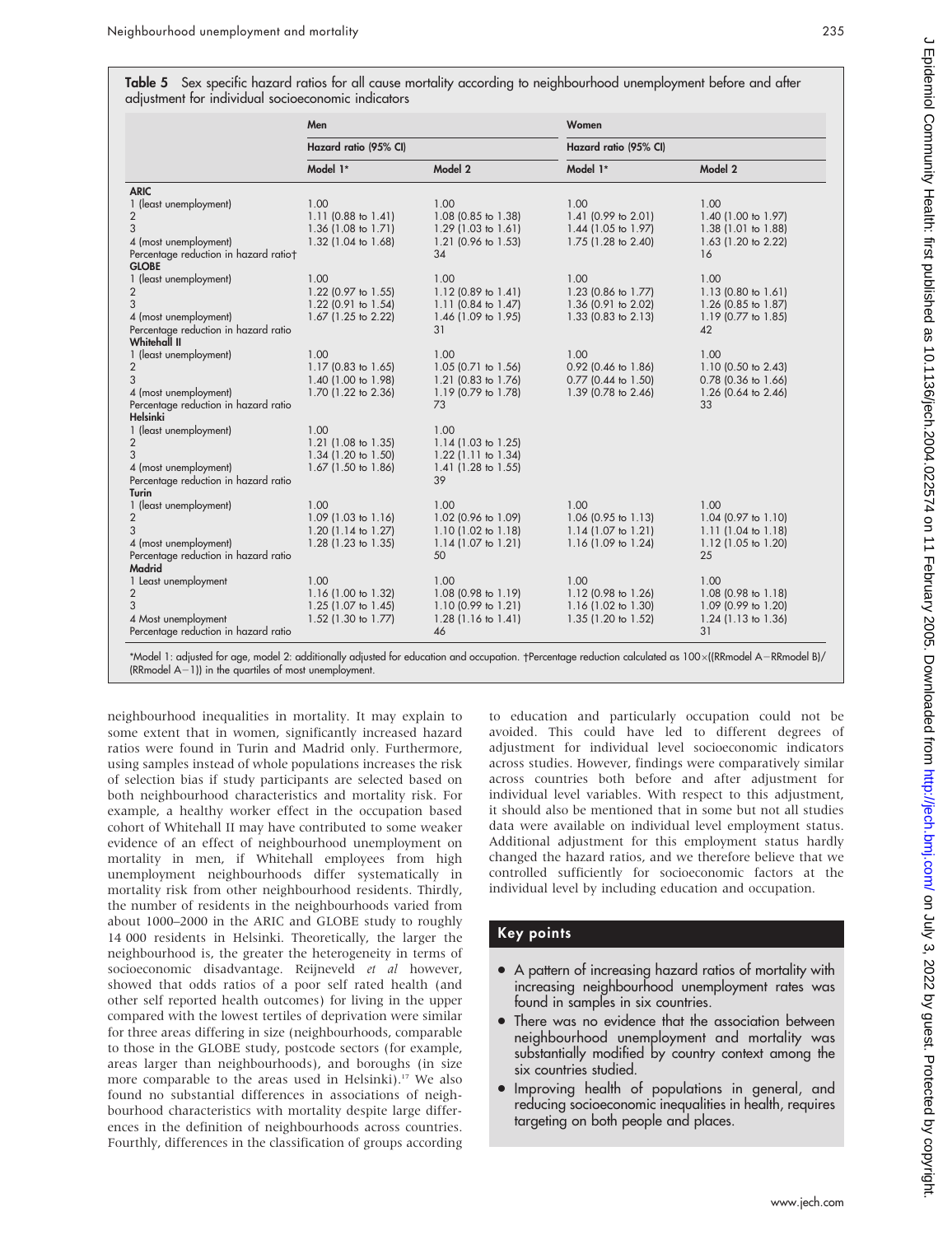Table 5 Sex specific hazard ratios for all cause mortality according to neighbourhood unemployment before and after adjustment for individual socioeconomic indicators

|                                       | Men                    |                                | Women<br>Hazard ratio (95% CI) |                       |  |
|---------------------------------------|------------------------|--------------------------------|--------------------------------|-----------------------|--|
|                                       | Hazard ratio (95% CI)  |                                |                                |                       |  |
|                                       | Model 1*               | Model 2                        | Model 1*                       | Model 2               |  |
| <b>ARIC</b>                           |                        |                                |                                |                       |  |
| 1 (least unemployment)                | 1.00                   | 1.00                           | 1.00                           | 1.00                  |  |
| $\overline{2}$                        | 1.11 (0.88 to $1.41$ ) | 1.08 (0.85 to 1.38)            | 1.41 (0.99 to 2.01)            | 1.40 (1.00 to 1.97)   |  |
| 3                                     | 1.36 (1.08 to 1.71)    | 1.29 $(1.03 \text{ to } 1.61)$ | 1.44 (1.05 to 1.97)            | 1.38 (1.01 to 1.88)   |  |
| 4 (most unemployment)                 | 1.32 (1.04 to 1.68)    | 1.21 (0.96 to 1.53)            | 1.75 (1.28 to 2.40)            | 1.63 (1.20 to 2.22)   |  |
| Percentage reduction in hazard ratio† |                        | 34                             |                                | 16                    |  |
| <b>GLOBE</b>                          |                        |                                |                                |                       |  |
| 1 (least unemployment)                | 1.00                   | 1.00                           | 1.00                           | 1.00                  |  |
| $\overline{2}$                        | 1.22 (0.97 to 1.55)    | 1.12 (0.89 to 1.41)            | 1.23 (0.86 to 1.77)            | 1.13 (0.80 to 1.61)   |  |
| 3                                     | 1.22 (0.91 to 1.54)    | 1.11 (0.84 to 1.47)            | 1.36 (0.91 to 2.02)            | 1.26 (0.85 to 1.87)   |  |
| 4 (most unemployment)                 | 1.67 (1.25 to 2.22)    | 1.46 (1.09 to 1.95)            | 1.33 (0.83 to 2.13)            | 1.19 (0.77 to 1.85)   |  |
| Percentage reduction in hazard ratio  |                        | 31                             |                                | 42                    |  |
| Whitehall II                          |                        |                                |                                |                       |  |
| 1 (least unemployment)                | 1.00                   | 1.00                           | 1.00                           | 1.00                  |  |
| $\overline{2}$                        | 1.17 (0.83 to 1.65)    | 1.05 (0.71 to 1.56)            | 0.92 (0.46 to 1.86)            | 1.10 (0.50 to 2.43)   |  |
| 3                                     | 1.40 (1.00 to 1.98)    | 1.21 (0.83 to 1.76)            | $0.77$ (0.44 to 1.50)          | $0.78$ (0.36 to 1.66) |  |
| 4 (most unemployment)                 | 1.70 (1.22 to 2.36)    | 1.19 (0.79 to 1.78)            | 1.39 (0.78 to 2.46)            | 1.26 (0.64 to 2.46)   |  |
| Percentage reduction in hazard ratio  |                        | 73                             |                                | 33                    |  |
| <b>Helsinki</b>                       |                        |                                |                                |                       |  |
| 1 (least unemployment)                | 1.00                   | 1.00                           |                                |                       |  |
| $\overline{2}$                        | 1.21 (1.08 to 1.35)    | 1.14 (1.03 to 1.25)            |                                |                       |  |
| 3                                     | 1.34 (1.20 to 1.50)    | 1.22 (1.11 to 1.34)            |                                |                       |  |
| 4 (most unemployment)                 | 1.67 (1.50 to 1.86)    | 1.41 (1.28 to 1.55)            |                                |                       |  |
| Percentage reduction in hazard ratio  |                        | 39                             |                                |                       |  |
| Turin                                 |                        |                                |                                |                       |  |
| 1 (least unemployment)                | 1.00                   | 1.00                           | 1.00                           | 1.00                  |  |
| 2                                     | 1.09 (1.03 to 1.16)    | 1.02 (0.96 to 1.09)            | 1.06 (0.95 to 1.13)            | 1.04 (0.97 to 1.10)   |  |
| 3                                     | 1.20 (1.14 to 1.27)    | 1.10 (1.02 to 1.18)            | 1.14 (1.07 to 1.21)            | $1.11$ (1.04 to 1.18) |  |
| 4 (most unemployment)                 | 1.28 (1.23 to 1.35)    | $1.14$ (1.07 to 1.21)          | 1.16 (1.09 to 1.24)            | 1.12 (1.05 to 1.20)   |  |
| Percentage reduction in hazard ratio  |                        | 50                             |                                | 25                    |  |
| Madrid                                |                        |                                |                                |                       |  |
| 1 Least unemployment                  | 1.00                   | 1.00                           | 1.00                           | 1.00                  |  |
| $\overline{2}$                        | 1.16 (1.00 to 1.32)    | 1.08 (0.98 to 1.19)            | 1.12 (0.98 to 1.26)            | 1.08 (0.98 to 1.18)   |  |
| 3                                     | 1.25 (1.07 to 1.45)    | 1.10 (0.99 to 1.21)            | 1.16 (1.02 to 1.30)            | 1.09 (0.99 to 1.20)   |  |
| 4 Most unemployment                   | 1.52 (1.30 to 1.77)    | $1.28$ (1.16 to 1.41)          | 1.35 (1.20 to 1.52)            | $1.24$ (1.13 to 1.36) |  |
| Percentage reduction in hazard ratio  |                        | 46                             |                                | 31                    |  |

\*Model 1: adjusted for age, model 2: additionally adjusted for education and occupation. †Percentage reduction calculated as 100×((RRmodel A–RRmodel B)/ (RRmodel  $A-1$ )) in the quartiles of most unemployment.

neighbourhood inequalities in mortality. It may explain to some extent that in women, significantly increased hazard ratios were found in Turin and Madrid only. Furthermore, using samples instead of whole populations increases the risk of selection bias if study participants are selected based on both neighbourhood characteristics and mortality risk. For example, a healthy worker effect in the occupation based cohort of Whitehall II may have contributed to some weaker evidence of an effect of neighbourhood unemployment on mortality in men, if Whitehall employees from high unemployment neighbourhoods differ systematically in mortality risk from other neighbourhood residents. Thirdly, the number of residents in the neighbourhoods varied from about 1000–2000 in the ARIC and GLOBE study to roughly 14 000 residents in Helsinki. Theoretically, the larger the neighbourhood is, the greater the heterogeneity in terms of socioeconomic disadvantage. Reijneveld et al however, showed that odds ratios of a poor self rated health (and other self reported health outcomes) for living in the upper compared with the lowest tertiles of deprivation were similar for three areas differing in size (neighbourhoods, comparable to those in the GLOBE study, postcode sectors (for example, areas larger than neighbourhoods), and boroughs (in size more comparable to the areas used in Helsinki).<sup>17</sup> We also found no substantial differences in associations of neighbourhood characteristics with mortality despite large differences in the definition of neighbourhoods across countries. Fourthly, differences in the classification of groups according to education and particularly occupation could not be avoided. This could have led to different degrees of adjustment for individual level socioeconomic indicators across studies. However, findings were comparatively similar across countries both before and after adjustment for individual level variables. With respect to this adjustment, it should also be mentioned that in some but not all studies data were available on individual level employment status. Additional adjustment for this employment status hardly changed the hazard ratios, and we therefore believe that we controlled sufficiently for socioeconomic factors at the individual level by including education and occupation.

# Key points

- A pattern of increasing hazard ratios of mortality with increasing neighbourhood unemployment rates was found in samples in six countries.
- There was no evidence that the association between neighbourhood unemployment and mortality was substantially modified by country context among the six countries studied.
- Improving health of populations in general, and reducing socioeconomic inequalities in health, requires targeting on both people and places.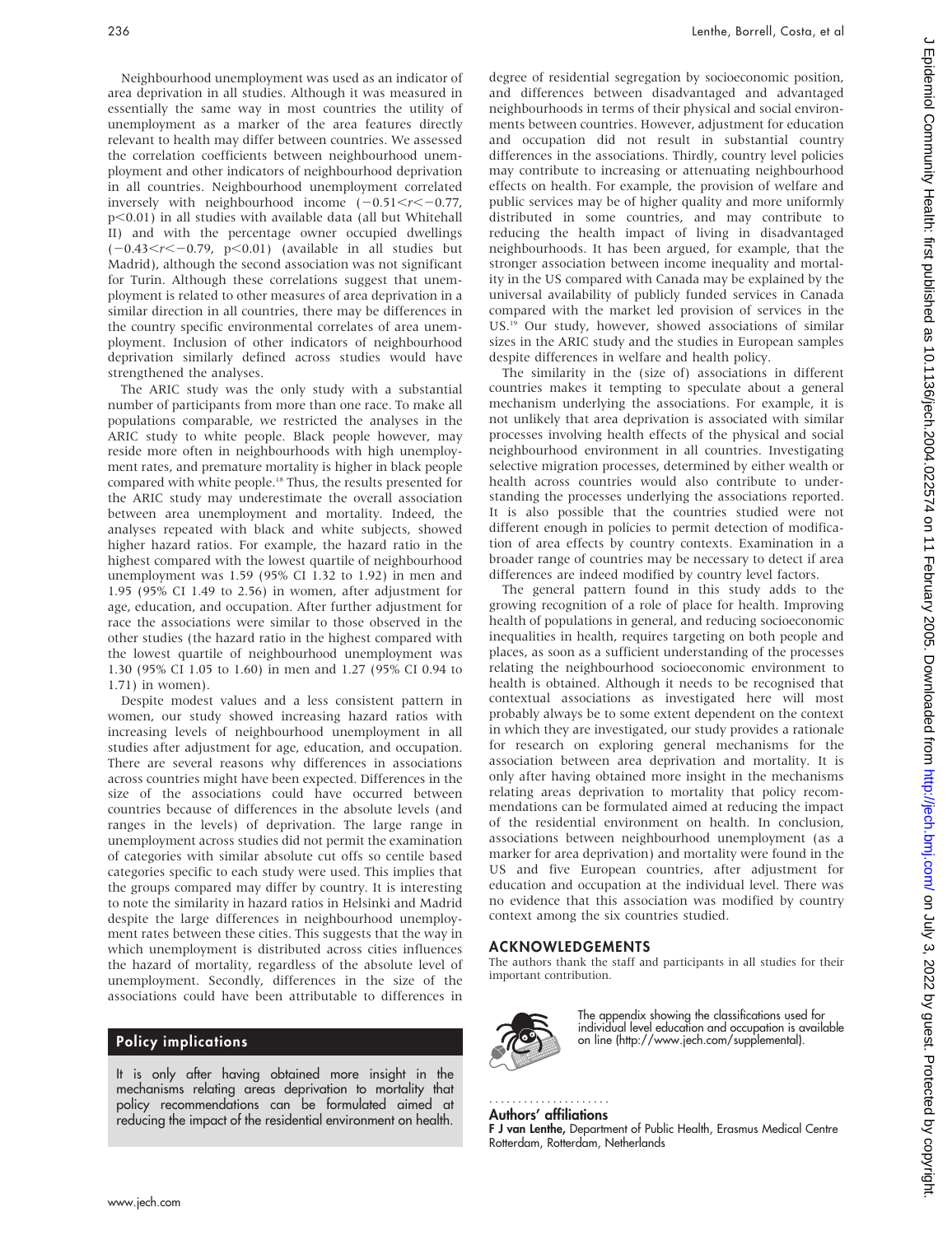Neighbourhood unemployment was used as an indicator of area deprivation in all studies. Although it was measured in essentially the same way in most countries the utility of unemployment as a marker of the area features directly relevant to health may differ between countries. We assessed the correlation coefficients between neighbourhood unemployment and other indicators of neighbourhood deprivation in all countries. Neighbourhood unemployment correlated inversely with neighbourhood income  $(-0.51 < r < -0.77$ ,  $p<0.01$ ) in all studies with available data (all but Whitehall II) and with the percentage owner occupied dwellings  $(-0.43 < r < -0.79, p < 0.01)$  (available in all studies but Madrid), although the second association was not significant for Turin. Although these correlations suggest that unemployment is related to other measures of area deprivation in a similar direction in all countries, there may be differences in the country specific environmental correlates of area unemployment. Inclusion of other indicators of neighbourhood deprivation similarly defined across studies would have strengthened the analyses.

The ARIC study was the only study with a substantial number of participants from more than one race. To make all populations comparable, we restricted the analyses in the ARIC study to white people. Black people however, may reside more often in neighbourhoods with high unemployment rates, and premature mortality is higher in black people compared with white people.18 Thus, the results presented for the ARIC study may underestimate the overall association between area unemployment and mortality. Indeed, the analyses repeated with black and white subjects, showed higher hazard ratios. For example, the hazard ratio in the highest compared with the lowest quartile of neighbourhood unemployment was 1.59 (95% CI 1.32 to 1.92) in men and 1.95 (95% CI 1.49 to 2.56) in women, after adjustment for age, education, and occupation. After further adjustment for race the associations were similar to those observed in the other studies (the hazard ratio in the highest compared with the lowest quartile of neighbourhood unemployment was 1.30 (95% CI 1.05 to 1.60) in men and 1.27 (95% CI 0.94 to 1.71) in women).

Despite modest values and a less consistent pattern in women, our study showed increasing hazard ratios with increasing levels of neighbourhood unemployment in all studies after adjustment for age, education, and occupation. There are several reasons why differences in associations across countries might have been expected. Differences in the size of the associations could have occurred between countries because of differences in the absolute levels (and ranges in the levels) of deprivation. The large range in unemployment across studies did not permit the examination of categories with similar absolute cut offs so centile based categories specific to each study were used. This implies that the groups compared may differ by country. It is interesting to note the similarity in hazard ratios in Helsinki and Madrid despite the large differences in neighbourhood unemployment rates between these cities. This suggests that the way in which unemployment is distributed across cities influences the hazard of mortality, regardless of the absolute level of unemployment. Secondly, differences in the size of the associations could have been attributable to differences in

# Policy implications

It is only after having obtained more insight in the mechanisms relating areas deprivation to mortality that policy recommendations can be formulated aimed at reducing the impact of the residential environment on health.

degree of residential segregation by socioeconomic position, and differences between disadvantaged and advantaged neighbourhoods in terms of their physical and social environments between countries. However, adjustment for education and occupation did not result in substantial country differences in the associations. Thirdly, country level policies may contribute to increasing or attenuating neighbourhood effects on health. For example, the provision of welfare and public services may be of higher quality and more uniformly distributed in some countries, and may contribute to reducing the health impact of living in disadvantaged neighbourhoods. It has been argued, for example, that the stronger association between income inequality and mortality in the US compared with Canada may be explained by the universal availability of publicly funded services in Canada compared with the market led provision of services in the US.19 Our study, however, showed associations of similar sizes in the ARIC study and the studies in European samples despite differences in welfare and health policy.

The similarity in the (size of) associations in different countries makes it tempting to speculate about a general mechanism underlying the associations. For example, it is not unlikely that area deprivation is associated with similar processes involving health effects of the physical and social neighbourhood environment in all countries. Investigating selective migration processes, determined by either wealth or health across countries would also contribute to understanding the processes underlying the associations reported. It is also possible that the countries studied were not different enough in policies to permit detection of modification of area effects by country contexts. Examination in a broader range of countries may be necessary to detect if area differences are indeed modified by country level factors.

The general pattern found in this study adds to the growing recognition of a role of place for health. Improving health of populations in general, and reducing socioeconomic inequalities in health, requires targeting on both people and places, as soon as a sufficient understanding of the processes relating the neighbourhood socioeconomic environment to health is obtained. Although it needs to be recognised that contextual associations as investigated here will most probably always be to some extent dependent on the context in which they are investigated, our study provides a rationale for research on exploring general mechanisms for the association between area deprivation and mortality. It is only after having obtained more insight in the mechanisms relating areas deprivation to mortality that policy recommendations can be formulated aimed at reducing the impact of the residential environment on health. In conclusion, associations between neighbourhood unemployment (as a marker for area deprivation) and mortality were found in the US and five European countries, after adjustment for education and occupation at the individual level. There was no evidence that this association was modified by country context among the six countries studied.

#### ACKNOWLEDGEMENTS

The authors thank the staff and participants in all studies for their important contribution.



The appendix showing the classifications used for individual level education and occupation is available on line (http://www.jech.com/supplemental).

#### Authors' affiliations .....................

F J van Lenthe, Department of Public Health, Erasmus Medical Centre Rotterdam, Rotterdam, Netherlands